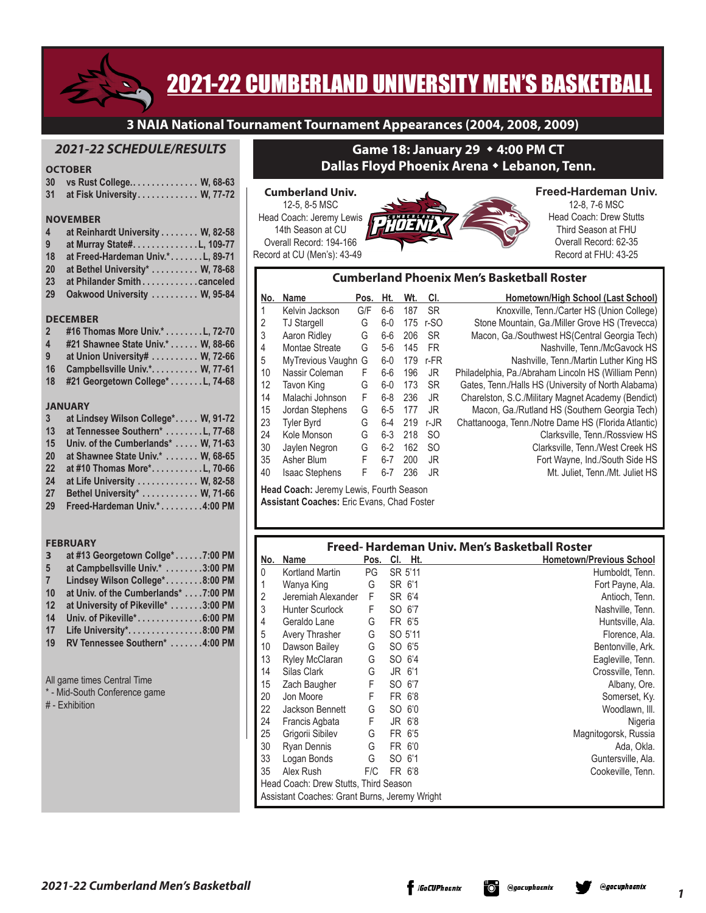

# 2021-22 CUMBERLAND UNIVERSITY MEN'S BASKETBALL

**3 NAIA National Tournament Tournament Appearances (2004, 2008, 2009)**

# *2021-22 SCHEDULE/RESULTS*

# **OCTOBER**

|                         | <b>ULIVDEN</b>                   |
|-------------------------|----------------------------------|
| 30                      | vs Rust College W, 68-63         |
| 31                      | at Fisk University W, 77-72      |
|                         | <b>NOVEMBER</b>                  |
| $\overline{\mathbf{4}}$ | at Reinhardt University W, 82-58 |
| 9                       | at Murray State#. 109-77         |
| 18                      | at Freed-Hardeman Univ.*L, 89-71 |
| <b>20</b>               | at Bethel University* W, 78-68   |
| 23                      | at Philander Smith canceled      |
| 29                      | Oakwood University  W, 95-84     |
|                         | <b>DECEMBER</b>                  |
| $2^{\circ}$             | #16 Thomas More Univ.* L, 72-70  |
|                         |                                  |

- **4 #21 Shawnee State Univ.\* . . W, 88-66 9 at Union University# . . W, 72-66**
- **16 Campbellsville Univ.\* . . W, 77-61**
- **18 #21 Georgetown College\* . L, 74-68**

#### **JANUARY**

| $\mathbf{3}$ | at Lindsey Wilson College* W, 91-72 |
|--------------|-------------------------------------|
| 13           | at Tennessee Southern* L, 77-68     |
| 15           | Univ. of the Cumberlands*  W, 71-63 |
| <b>20</b>    | at Shawnee State Univ.* W, 68-65    |
| 22           | at #10 Thomas More*L, 70-66         |
| 24           | at Life University W, 82-58         |
| 27           | Bethel University* W, 71-66         |
| 29           | Freed-Hardeman Univ.*4:00 PM        |

#### **FEBRUARY**

| $\overline{\mathbf{3}}$     | at #13 Georgetown Collge*7:00 PM     |  |  |  |  |  |  |  |
|-----------------------------|--------------------------------------|--|--|--|--|--|--|--|
| 5                           | at Campbellsville Univ.* 3:00 PM     |  |  |  |  |  |  |  |
| $\overline{7}$              | Lindsey Wilson College*8:00 PM       |  |  |  |  |  |  |  |
| 10                          | at Univ. of the Cumberlands* 7:00 PM |  |  |  |  |  |  |  |
| 12                          | at University of Pikeville* 3:00 PM  |  |  |  |  |  |  |  |
| 14                          | Univ. of Pikeville*6:00 PM           |  |  |  |  |  |  |  |
| 17                          | Life University*. 8:00 PM            |  |  |  |  |  |  |  |
| 19                          | RV Tennessee Southern* 4:00 PM       |  |  |  |  |  |  |  |
|                             |                                      |  |  |  |  |  |  |  |
| All game times Central Time |                                      |  |  |  |  |  |  |  |

- Mid-South Conference game
- # Exhibition

# **Game 18: January 29** w **4:00 PM CT Dallas Floyd Phoenix Arena** w **Lebanon, Tenn.**

#### **Cumberland Univ.** 12-5, 8-5 MSC Head Coach: Jeremy Lewis 14th Season at CU Overall Record: 194-166 Record at CU (Men's): 43-49



# **Freed-Hardeman Univ.**

12-8, 7-6 MSC Head Coach: Drew Stutts Third Season at FHU Overall Record: 62-35 Record at FHU: 43-25

#### **Cumberland Phoenix Men's Basketball Roster**

| No. | <b>Name</b>           | Pos. | Ht.     | Wt. | CI.           | Hometown/High School (Last School)                  |
|-----|-----------------------|------|---------|-----|---------------|-----------------------------------------------------|
| 1   | Kelvin Jackson        | G/F  | $6-6$   | 187 | <b>SR</b>     | Knoxville, Tenn./Carter HS (Union College)          |
| 2   | <b>TJ Stargell</b>    | G    | $6-0$   | 175 | r-SO          | Stone Mountain, Ga./Miller Grove HS (Trevecca)      |
| 3   | Aaron Ridley          | G    | 6-6     | 206 | <b>SR</b>     | Macon, Ga./Southwest HS(Central Georgia Tech)       |
| 4   | Montae Streate        | G    | $5-6$   | 145 | <b>FR</b>     | Nashville, Tenn./McGavock HS                        |
| 5   | MyTrevious Vaughn G   |      | $6-0$   | 179 | r-FR          | Nashville, Tenn./Martin Luther King HS              |
| 10  | Nassir Coleman        | F    | $6-6$   | 196 | JR.           | Philadelphia, Pa./Abraham Lincoln HS (William Penn) |
| 12  | Tavon King            | G    | $6-0$   | 173 | <b>SR</b>     | Gates, Tenn./Halls HS (University of North Alabama) |
| 14  | Malachi Johnson       | F    | $6-8$   | 236 | JR            | Charelston, S.C./Military Magnet Academy (Bendict)  |
| 15  | Jordan Stephens       | G    | $6-5$   | 177 | JR.           | Macon, Ga./Rutland HS (Southern Georgia Tech)       |
| 23  | <b>Tyler Byrd</b>     | G    | 6-4     | 219 | $r-JR$        | Chattanooga, Tenn./Notre Dame HS (Florida Atlantic) |
| 24  | Kole Monson           | G    | $6-3$   | 218 | <sub>SO</sub> | Clarksville, Tenn./Rossview HS                      |
| 30  | Jaylen Negron         | G    | $6-2$   | 162 | <sub>SO</sub> | Clarksville, Tenn./West Creek HS                    |
| 35  | Asher Blum            | F    | $6 - 7$ | 200 | JR            | Fort Wayne, Ind./South Side HS                      |
| 40  | <b>Isaac Stephens</b> | F    | 6-7     | 236 | JR            | Mt. Juliet. Tenn./Mt. Juliet HS                     |
|     |                       |      |         |     |               |                                                     |

**Head Coach:** Jeremy Lewis, Fourth Season **Assistant Coaches:** Eric Evans, Chad Foster

|     |                                               |      |         |     | Freed-Hardeman Univ. Men's Basketball Roster |
|-----|-----------------------------------------------|------|---------|-----|----------------------------------------------|
| No. | <b>Name</b>                                   | Pos. | CI.     | Ht. | <b>Hometown/Previous School</b>              |
| 0   | <b>Kortland Martin</b>                        | PG   | SR 5'11 |     | Humboldt, Tenn.                              |
| 1   | Wanya King                                    | G    | SR 6'1  |     | Fort Payne, Ala.                             |
| 2   | Jeremiah Alexander                            | F    | SR 6'4  |     | Antioch, Tenn.                               |
| 3   | <b>Hunter Scurlock</b>                        | F    | SO 6'7  |     | Nashville, Tenn.                             |
| 4   | Geraldo Lane                                  | G    | FR 6'5  |     | Huntsville, Ala.                             |
| 5   | Avery Thrasher                                | G    | SO 5'11 |     | Florence, Ala.                               |
| 10  | Dawson Bailey                                 | G    | SO 6'5  |     | Bentonville, Ark.                            |
| 13  | Ryley McClaran                                | G    | SO 6'4  |     | Eagleville, Tenn.                            |
| 14  | Silas Clark                                   | G    | JR 6'1  |     | Crossville, Tenn.                            |
| 15  | Zach Baugher                                  | F    | SO 6'7  |     | Albany, Ore.                                 |
| 20  | Jon Moore                                     | F    | FR 6'8  |     | Somerset, Ky.                                |
| 22  | Jackson Bennett                               | G    | SO 6'0  |     | Woodlawn, III.                               |
| 24  | Francis Agbata                                | F    | JR 6'8  |     | Nigeria                                      |
| 25  | Grigorii Sibilev                              | G    | FR 6'5  |     | Magnitogorsk, Russia                         |
| 30  | Ryan Dennis                                   | G    | FR 6'0  |     | Ada, Okla.                                   |
| 33  | Logan Bonds                                   | G    | SO 6'1  |     | Guntersville, Ala.                           |
| 35  | Alex Rush                                     | F/C  | FR 6'8  |     | Cookeville, Tenn.                            |
|     | Head Coach: Drew Stutts, Third Season         |      |         |     |                                              |
|     | Assistant Coaches: Grant Burns, Jeremy Wright |      |         |     |                                              |